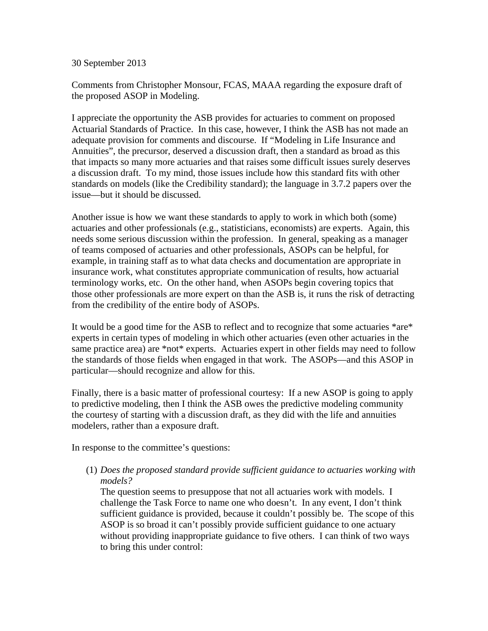30 September 2013

Comments from Christopher Monsour, FCAS, MAAA regarding the exposure draft of the proposed ASOP in Modeling.

I appreciate the opportunity the ASB provides for actuaries to comment on proposed Actuarial Standards of Practice. In this case, however, I think the ASB has not made an adequate provision for comments and discourse. If "Modeling in Life Insurance and Annuities", the precursor, deserved a discussion draft, then a standard as broad as this that impacts so many more actuaries and that raises some difficult issues surely deserves a discussion draft. To my mind, those issues include how this standard fits with other standards on models (like the Credibility standard); the language in 3.7.2 papers over the issue—but it should be discussed.

Another issue is how we want these standards to apply to work in which both (some) actuaries and other professionals (e.g., statisticians, economists) are experts. Again, this needs some serious discussion within the profession. In general, speaking as a manager of teams composed of actuaries and other professionals, ASOPs can be helpful, for example, in training staff as to what data checks and documentation are appropriate in insurance work, what constitutes appropriate communication of results, how actuarial terminology works, etc. On the other hand, when ASOPs begin covering topics that those other professionals are more expert on than the ASB is, it runs the risk of detracting from the credibility of the entire body of ASOPs.

It would be a good time for the ASB to reflect and to recognize that some actuaries \*are\* experts in certain types of modeling in which other actuaries (even other actuaries in the same practice area) are \*not\* experts. Actuaries expert in other fields may need to follow the standards of those fields when engaged in that work. The ASOPs—and this ASOP in particular—should recognize and allow for this.

Finally, there is a basic matter of professional courtesy: If a new ASOP is going to apply to predictive modeling, then I think the ASB owes the predictive modeling community the courtesy of starting with a discussion draft, as they did with the life and annuities modelers, rather than a exposure draft.

In response to the committee's questions:

(1) *Does the proposed standard provide sufficient guidance to actuaries working with models?*

The question seems to presuppose that not all actuaries work with models. I challenge the Task Force to name one who doesn't. In any event, I don't think sufficient guidance is provided, because it couldn't possibly be. The scope of this ASOP is so broad it can't possibly provide sufficient guidance to one actuary without providing inappropriate guidance to five others. I can think of two ways to bring this under control: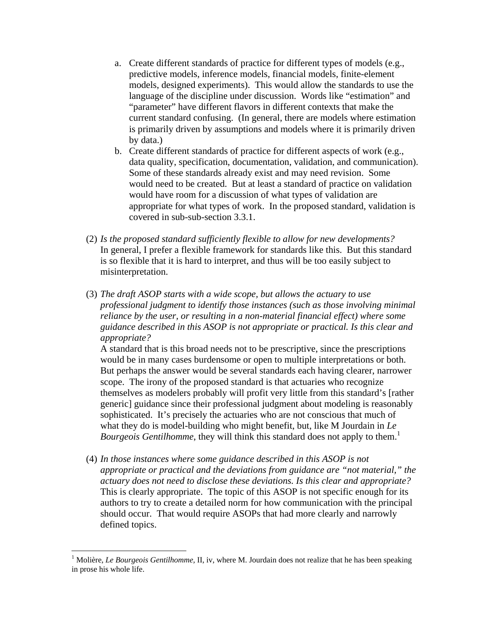- a. Create different standards of practice for different types of models (e.g., predictive models, inference models, financial models, finite-element models, designed experiments). This would allow the standards to use the language of the discipline under discussion. Words like "estimation" and "parameter" have different flavors in different contexts that make the current standard confusing. (In general, there are models where estimation is primarily driven by assumptions and models where it is primarily driven by data.)
- b. Create different standards of practice for different aspects of work (e.g., data quality, specification, documentation, validation, and communication). Some of these standards already exist and may need revision. Some would need to be created. But at least a standard of practice on validation would have room for a discussion of what types of validation are appropriate for what types of work. In the proposed standard, validation is covered in sub-sub-section 3.3.1.
- (2) *Is the proposed standard sufficiently flexible to allow for new developments?* In general, I prefer a flexible framework for standards like this. But this standard is so flexible that it is hard to interpret, and thus will be too easily subject to misinterpretation.
- (3) *The draft ASOP starts with a wide scope, but allows the actuary to use professional judgment to identify those instances (such as those involving minimal reliance by the user, or resulting in a non-material financial effect) where some guidance described in this ASOP is not appropriate or practical. Is this clear and appropriate?*

A standard that is this broad needs not to be prescriptive, since the prescriptions would be in many cases burdensome or open to multiple interpretations or both. But perhaps the answer would be several standards each having clearer, narrower scope. The irony of the proposed standard is that actuaries who recognize themselves as modelers probably will profit very little from this standard's [rather generic] guidance since their professional judgment about modeling is reasonably sophisticated. It's precisely the actuaries who are not conscious that much of what they do is model-building who might benefit, but, like M Jourdain in *Le Bourgeois Gentilhomme*, they will think this standard does not apply to them.<sup>1</sup>

(4) *In those instances where some guidance described in this ASOP is not appropriate or practical and the deviations from guidance are "not material," the actuary does not need to disclose these deviations. Is this clear and appropriate?* This is clearly appropriate. The topic of this ASOP is not specific enough for its authors to try to create a detailed norm for how communication with the principal should occur. That would require ASOPs that had more clearly and narrowly defined topics.

1

<sup>&</sup>lt;sup>1</sup> Molière, *Le Bourgeois Gentilhomme*, II, iv, where M. Jourdain does not realize that he has been speaking in prose his whole life.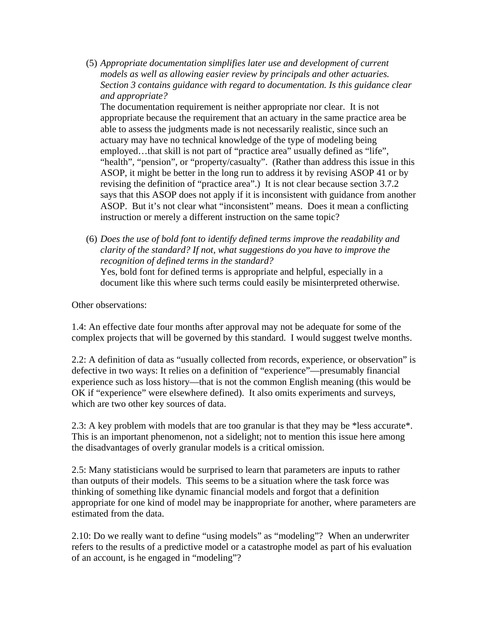(5) *Appropriate documentation simplifies later use and development of current models as well as allowing easier review by principals and other actuaries. Section 3 contains guidance with regard to documentation. Is this guidance clear and appropriate?* 

The documentation requirement is neither appropriate nor clear. It is not appropriate because the requirement that an actuary in the same practice area be able to assess the judgments made is not necessarily realistic, since such an actuary may have no technical knowledge of the type of modeling being employed…that skill is not part of "practice area" usually defined as "life", "health", "pension", or "property/casualty". (Rather than address this issue in this ASOP, it might be better in the long run to address it by revising ASOP 41 or by revising the definition of "practice area".) It is not clear because section 3.7.2 says that this ASOP does not apply if it is inconsistent with guidance from another ASOP. But it's not clear what "inconsistent" means. Does it mean a conflicting instruction or merely a different instruction on the same topic?

(6) *Does the use of bold font to identify defined terms improve the readability and clarity of the standard? If not, what suggestions do you have to improve the recognition of defined terms in the standard?* Yes, bold font for defined terms is appropriate and helpful, especially in a document like this where such terms could easily be misinterpreted otherwise.

Other observations:

1.4: An effective date four months after approval may not be adequate for some of the complex projects that will be governed by this standard. I would suggest twelve months.

2.2: A definition of data as "usually collected from records, experience, or observation" is defective in two ways: It relies on a definition of "experience"—presumably financial experience such as loss history—that is not the common English meaning (this would be OK if "experience" were elsewhere defined). It also omits experiments and surveys, which are two other key sources of data.

2.3: A key problem with models that are too granular is that they may be \*less accurate\*. This is an important phenomenon, not a sidelight; not to mention this issue here among the disadvantages of overly granular models is a critical omission.

2.5: Many statisticians would be surprised to learn that parameters are inputs to rather than outputs of their models. This seems to be a situation where the task force was thinking of something like dynamic financial models and forgot that a definition appropriate for one kind of model may be inappropriate for another, where parameters are estimated from the data.

2.10: Do we really want to define "using models" as "modeling"? When an underwriter refers to the results of a predictive model or a catastrophe model as part of his evaluation of an account, is he engaged in "modeling"?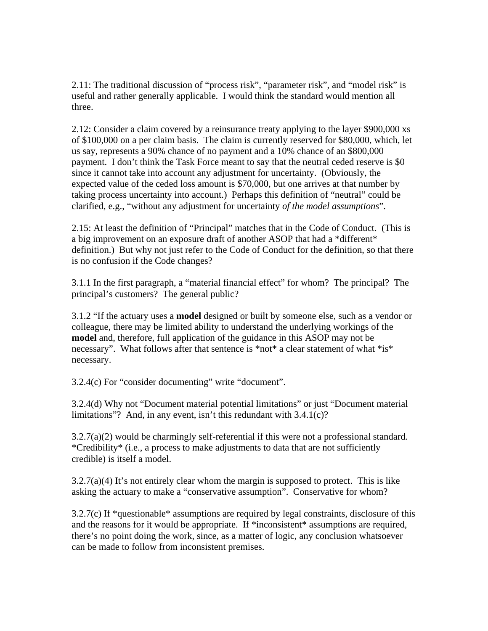2.11: The traditional discussion of "process risk", "parameter risk", and "model risk" is useful and rather generally applicable. I would think the standard would mention all three.

2.12: Consider a claim covered by a reinsurance treaty applying to the layer \$900,000 xs of \$100,000 on a per claim basis. The claim is currently reserved for \$80,000, which, let us say, represents a 90% chance of no payment and a 10% chance of an \$800,000 payment. I don't think the Task Force meant to say that the neutral ceded reserve is \$0 since it cannot take into account any adjustment for uncertainty. (Obviously, the expected value of the ceded loss amount is \$70,000, but one arrives at that number by taking process uncertainty into account.) Perhaps this definition of "neutral" could be clarified, e.g., "without any adjustment for uncertainty *of the model assumptions*".

2.15: At least the definition of "Principal" matches that in the Code of Conduct. (This is a big improvement on an exposure draft of another ASOP that had a \*different\* definition.) But why not just refer to the Code of Conduct for the definition, so that there is no confusion if the Code changes?

3.1.1 In the first paragraph, a "material financial effect" for whom? The principal? The principal's customers? The general public?

3.1.2 "If the actuary uses a **model** designed or built by someone else, such as a vendor or colleague, there may be limited ability to understand the underlying workings of the **model** and, therefore, full application of the guidance in this ASOP may not be necessary". What follows after that sentence is \*not\* a clear statement of what \*is\* necessary.

3.2.4(c) For "consider documenting" write "document".

3.2.4(d) Why not "Document material potential limitations" or just "Document material limitations"? And, in any event, isn't this redundant with 3.4.1(c)?

3.2.7(a)(2) would be charmingly self-referential if this were not a professional standard. \*Credibility\* (i.e., a process to make adjustments to data that are not sufficiently credible) is itself a model.

 $3.2.7(a)(4)$  It's not entirely clear whom the margin is supposed to protect. This is like asking the actuary to make a "conservative assumption". Conservative for whom?

3.2.7(c) If \*questionable\* assumptions are required by legal constraints, disclosure of this and the reasons for it would be appropriate. If \*inconsistent\* assumptions are required, there's no point doing the work, since, as a matter of logic, any conclusion whatsoever can be made to follow from inconsistent premises.